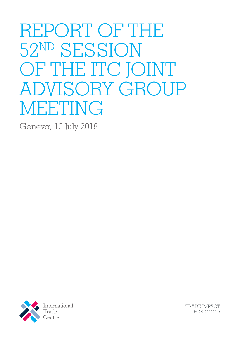# REPORT OF THE 52ND SESSION OF THE ITC JOINT ADVISORY GROUP MEETING

Geneva, 10 July 2018



**TRADE IMPACT** FOR GOOD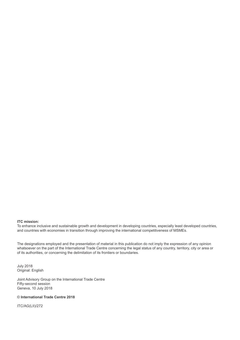#### **ITC mission:**

To enhance inclusive and sustainable growth and development in developing countries, especially least developed countries, and countries with economies in transition through improving the international competitiveness of MSMEs.

The designations employed and the presentation of material in this publication do not imply the expression of any opinion whatsoever on the part of the International Trade Centre concerning the legal status of any country, territory, city or area or of its authorities, or concerning the delimitation of its frontiers or boundaries.

July 2018 Original: English

Joint Advisory Group on the International Trade Centre Fifty-second session Geneva, 10 July 2018

#### © **International Trade Centre 2018**

ITC/AG(LII)/272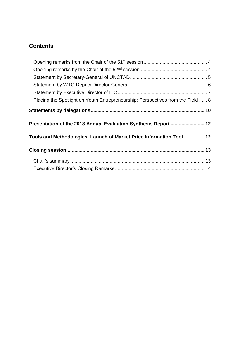# **Contents**

| Placing the Spotlight on Youth Entrepreneurship: Perspectives from the Field  8                                                         |  |
|-----------------------------------------------------------------------------------------------------------------------------------------|--|
|                                                                                                                                         |  |
|                                                                                                                                         |  |
|                                                                                                                                         |  |
|                                                                                                                                         |  |
|                                                                                                                                         |  |
| Presentation of the 2018 Annual Evaluation Synthesis Report  12<br>Tools and Methodologies: Launch of Market Price Information Tool  12 |  |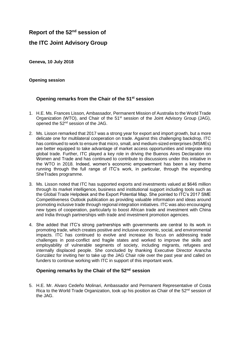# **Report of the 52nd session of**

## **the ITC Joint Advisory Group**

**Geneva, 10 July 2018**

#### **Opening session**

### <span id="page-3-0"></span>**Opening remarks from the Chair of the 51st session**

- 1. H.E. Ms. Frances Lisson, Ambassador, Permanent Mission of Australia to the World Trade Organization (WTO), and Chair of the 51<sup>st</sup> session of the Joint Advisory Group (JAG), opened the 52nd session of the JAG.
- 2. Ms. Lisson remarked that 2017 was a strong year for export and import growth, but a more delicate one for multilateral cooperation on trade. Against this challenging backdrop, ITC has continued to work to ensure that micro, small, and medium-sized enterprises (MSMEs) are better equipped to take advantage of market access opportunities and integrate into global trade. Further, ITC played a key role in driving the Buenos Aires Declaration on Women and Trade and has continued to contribute to discussions under this initiative in the WTO in 2018. Indeed, women's economic empowerment has been a key theme running through the full range of ITC's work, in particular, through the expanding SheTrades programme.
- 3. Ms. Lisson noted that ITC has supported exports and investments valued at \$646 million through its market intelligence, business and institutional support including tools such as the Global Trade Helpdesk and the Export Potential Map. She pointed to ITC's 2017 SME Competitiveness Outlook publication as providing valuable information and ideas around promoting inclusive trade through regional integration initiatives. ITC was also encouraging new types of cooperation, particularly to boost African trade and investment with China and India through partnerships with trade and investment promotion agencies.
- 4. She added that ITC's strong partnerships with governments are central to its work in promoting trade, which creates positive and inclusive economic, social, and environmental impacts. ITC has continued to evolve and increase its focus on addressing trade challenges in post-conflict and fragile states and worked to improve the skills and employability of vulnerable segments of society, including migrants, refugees and internally displaced people. She concluded by thanking Executive Director Arancha González for inviting her to take up the JAG Chair role over the past year and called on funders to continue working with ITC in support of this important work.

#### <span id="page-3-1"></span>**Opening remarks by the Chair of the 52nd session**

5. H.E. Mr. Alvaro Cedeño Molinari, Ambassador and Permanent Representative of Costa Rica to the World Trade Organization, took up his position as Chair of the 52<sup>nd</sup> session of the JAG.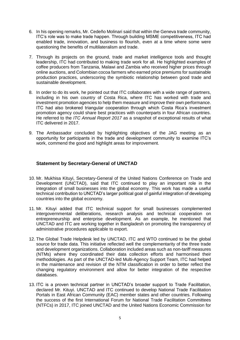- 6. In his opening remarks, Mr. Cedeño Molinari said that within the Geneva trade community, ITC's role was to make trade happen. Through building MSME competitiveness, ITC had enabled trade, innovation, and business to flourish, even at a time where some were questioning the benefits of multilateralism and trade.
- 7. Through its projects on the ground, trade and market intelligence tools and thought leadership, ITC had contributed to making trade work for all. He highlighted examples of coffee producers from Tanzania, Malawi and Zambia who received higher prices through online auctions, and Colombian cocoa farmers who earned price premiums for sustainable production practices, underscoring the symbiotic relationship between good trade and sustainable development.
- 8. In order to do its work, he pointed out that ITC collaborates with a wide range of partners, including in his own country of Costa Rica, where ITC has worked with trade and investment promotion agencies to help them measure and improve their own performance. ITC had also brokered triangular cooperation through which Costa Rica's investment promotion agency could share best practices with counterparts in four African countries. He referred to the *ITC Annual Report 2017* as a snapshot of exceptional results of what ITC delivered in 2017.
- 9. The Ambassador concluded by highlighting objectives of the JAG meeting as an opportunity for participants in the trade and development community to examine ITC's work, commend the good and highlight areas for improvement.

### <span id="page-4-0"></span>**Statement by Secretary-General of UNCTAD**

- 10. Mr. Mukhisa Kituyi, Secretary-General of the United Nations Conference on Trade and Development (UNCTAD), said that ITC continued to play an important role in the integration of small businesses into the global economy. This work has made a useful technical contribution to UNCTAD's larger political goal of gainful integration of developing countries into the global economy.
- 11. Mr. Kituyi added that ITC technical support for small businesses complemented intergovernmental deliberations, research analysis and technical cooperation on entrepreneurship and enterprise development. As an example, he mentioned that UNCTAD and ITC are working together in Bangladesh on promoting the transparency of administrative procedures applicable to export.
- 12. The Global Trade Helpdesk led by UNCTAD, ITC and WTO continued to be the global source for trade data. This initiative reflected well the complementarity of the three trade and development organizations. Collaboration included areas such as non-tariff measures (NTMs) where they coordinated their data collection efforts and harmonised their methodologies. As part of the UNCTAD-led Multi-Agency Support Team, ITC had helped in the maintenance and revision of the NTM classification in order to better reflect the changing regulatory environment and allow for better integration of the respective databases.
- 13. ITC is a proven technical partner in UNCTAD's broader support to Trade Facilitation, declared Mr. Kituyi. UNCTAD and ITC continued to develop National Trade Facilitation Portals in East African Community (EAC) member states and other countries. Following the success of the first International Forum for National Trade Facilitation Committees (NTFCs) in 2017, ITC joined UNCTAD and the United Nations Economic Commission for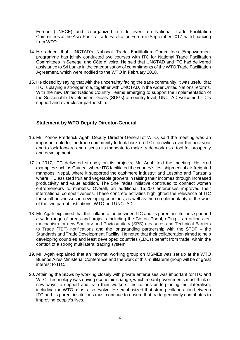Europe (UNECE) and co-organized a side event on National Trade Facilitation Committees at the Asia-Pacific Trade Facilitation Forum in September 2017, with financing from WTO.

- 14. He added that UNCTAD's National Trade Facilitation Committees Empowerment programme has jointly conducted two courses with ITC for National Trade Facilitation Committees in Senegal and Côte d'Ivoire. He said that UNCTAD and ITC had delivered assistance to Sri Lanka in the categorisation of commitments of the WTO Trade Facilitation Agreement, which were notified to the WTO in February 2018.
- 15. He closed by saying that with the uncertainty facing the trade community, it was useful that ITC is playing a stronger role, together with UNCTAD, in the wider United Nations reforms. With the new United Nations Country Teams emerging to support the implementation of the Sustainable Development Goals (SDGs) at country-level, UNCTAD welcomed ITC's support and ever closer partnership.

#### <span id="page-5-0"></span>**Statement by WTO Deputy Director-General**

- 16. Mr. Yonov Frederick Agah, Deputy Director-General of WTO, said the meeting was an important date for the trade community to look back on ITC's activities over the past year and to look forward and discuss its mandate to make trade work as a tool for prosperity and development.
- 17. In 2017, ITC delivered strongly on its projects, Mr. Agah told the meeting. He cited examples such as Guinea, where ITC facilitated the country's first shipment of air-freighted mangoes; Nepal, where it supported the cashmere industry; and Lesotho and Tanzania where ITC assisted fruit and vegetable growers in raising their incomes through increased productivity and value addition. The SheTrades initiative continued to connect women entrepreneurs to markets. Overall, an additional 15,200 enterprises improved their international competitiveness. These concrete activities highlighted the relevance of ITC for small businesses in developing countries, as well as the complementarity of the work of the two parent institutions, WTO and UNCTAD.
- 18. Mr. Agah explained that the collaboration between ITC and its parent institutions spanned a wide range of areas and projects including the Cotton Portal, ePing – an online alert mechanism for new Sanitary and Phytosanitary (SPS) measures and Technical Barriers to Trade (TBT) notifications and the longstanding partnership with the STDF – the Standards and Trade Development Facility. He noted that their collaboration aimed to help developing countries and least developed countries (LDCs) benefit from trade, within the context of a strong multilateral trading system.
- 19. Mr. Agah explained that an informal working group on MSMEs was set up at the WTO Buenos Aires Ministerial Conference and the work of this multilateral group will be of great interest to ITC.
- 20. Attaining the SDGs by working closely with private enterprises was important for ITC and WTO. Technology was driving economic change, which meant governments must think of new ways to support and train their workers. Institutions underpinning multilateralism, including the WTO, must also evolve. He emphasized that strong collaboration between ITC and its parent institutions must continue to ensure that trade genuinely contributes to improving people's lives.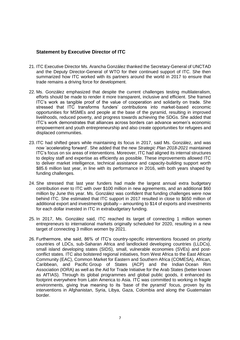#### <span id="page-6-0"></span>**Statement by Executive Director of ITC**

- 21. ITC Executive Director Ms. Arancha González thanked the Secretary-General of UNCTAD and the Deputy Director-General of WTO for their continued support of ITC. She then summarized how ITC worked with its partners around the world in 2017 to ensure that trade remains a driving force for development.
- 22. Ms. González emphasized that despite the current challenges testing multilateralism, efforts should be made to render it more transparent, inclusive and efficient. She framed ITC's work as tangible proof of the value of cooperation and solidarity on trade. She stressed that ITC transforms funders' contributions into market-based economic opportunities for MSMEs and people at the base of the pyramid, resulting in improved livelihoods, reduced poverty, and progress towards achieving the SDGs. She added that ITC's work demonstrates that alliances across borders can advance women's economic empowerment and youth entrepreneurship and also create opportunities for refugees and displaced communities.
- 23. ITC had shifted gears while maintaining its focus in 2017, said Ms. González, and was now 'accelerating forward'. She added that the new *Strategic Plan 2018-2021* maintained ITC's focus on six areas of interventions. Moreover, ITC had aligned its internal structures to deploy staff and expertise as efficiently as possible. These improvements allowed ITC to deliver market intelligence, technical assistance and capacity-building support worth \$85.6 million last year, in line with its performance in 2016, with both years shaped by funding challenges.
- 24. She stressed that last year funders had made the largest annual extra budgetary contribution ever to ITC with over \$100 million in new agreements, and an additional \$60 million by June this year. Ms. González was confident that funding challenges were now behind ITC. She estimated that ITC support in 2017 resulted in close to \$650 million of additional export and investments globally – amounting to \$14 of exports and investments for each dollar invested in ITC in extrabudgetary funding.
- 25. In 2017, Ms. González said, ITC reached its target of connecting 1 million women entrepreneurs to international markets originally scheduled for 2020, resulting in a new target of connecting 3 million women by 2021.
- 26. Furthermore, she said, 86% of ITC's country-specific interventions focused on priority countries of LDCs, sub-Saharan Africa and landlocked developing countries (LLDCs), small island developing states (SIDS), small, vulnerable economies (SVEs) and postconflict states. ITC also bolstered regional initiatives, from West Africa to the East African Community (EAC), Common Market for Eastern and Southern Africa (COMESA), African, Caribbean, and Pacific Group of States (ACP) and the Indian Ocean Rim Association (IORA) as well as the Aid for Trade Initiative for the Arab States (better known as AfTIAS). Through its global programmes and global public goods, it enhanced its footprint everywhere from Latin America to Asia. ITC was committed to working in fragile environments, giving true meaning to its 'base of the pyramid' focus, proven by its interventions in Afghanistan, Syria, Libya, Gaza, Colombia and along the Guatemalan border.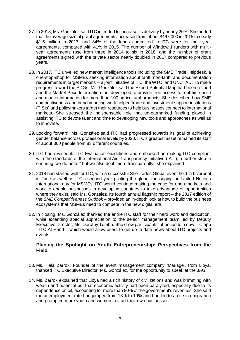- 27. In 2018, Ms. González said ITC intended to increase its delivery by nearly 20%. She added that the average size of grant agreements increased from about \$467,000 in 2015 to nearly \$1.5 million in 2017, and 84% of the funds committed to ITC were for multi-year agreements, compared with 41% in 2015. The number of Window 1 funders with multiyear agreements rose from three in 2014 to six in 2018, and the number of grant agreements signed with the private sector nearly doubled in 2017 compared to previous years.
- 28. In 2017, ITC unveiled new market intelligence tools including the SME Trade Helpdesk, a one-stop-shop for MSMEs seeking information about tariff, non-tariff, and documentation requirements in target markets -- a joint initiative of ITC, the WTO, and UNCTAD. To make progress toward the SDGs, Ms. González said the Export Potential Map had been refined and the Market Price Information tool developed to provide free access to real-time price and market information for more than 100 agricultural products. She described how SME competitiveness and benchmarking work helped trade and investment support institutions (TISIs) and policymakers target their resources to help businesses connect to international markets. She stressed the indispensable role that un-earmarked funding played in assisting ITC to devote talent and time to developing new tools and approaches as well as to innovate.
- 29. Looking forward, Ms. González said ITC had progressed towards its goal of achieving gender balance across professional levels by 2023. ITC's greatest asset remained its staff of about 300 people from 83 different countries.
- 30. ITC had revised its ITC Evaluation Guidelines and embarked on making ITC compliant with the standards of the International Aid Transparency Initiative (IATI), a further step in ensuring 'we do better' but we also do it 'more transparently', she explained.
- 31. 2018 had started well for ITC, with a successful SheTrades Global event held in Liverpool in June as well as ITC's second year piloting the global messaging on United Nations International day for MSMEs. ITC would continue making the case for open markets and work to enable businesses in developing countries to take advantage of opportunities where they exist, said Ms. González. Its fourth annual flagship report – the 2017 edition of the *SME Competitiveness Outlook* – provided an in-depth look at how to build the business ecosystems that MSMEs need to compete in the new digital era.
- 32. In closing, Ms. González thanked the entire ITC staff for their hard work and dedication, while extending special appreciation to the senior management team led by Deputy Executive Director, Ms. Dorothy Tembo. She drew participants' attention to a new ITC app - ITC At Hand – which would allow users to get up to date news about ITC projects and events.

#### <span id="page-7-0"></span>**Placing the Spotlight on Youth Entrepreneurship: Perspectives from the Field**

- 33. Ms. Hala Zarrok, Founder of the event management company 'Mariage', from Libya, thanked ITC Executive Director, Ms. González, for the opportunity to speak at the JAG.
- 34. Ms. Zarrok explained that Libya had a rich history of civilizations and was brimming with wealth and potential but that economic activity had been paralyzed, especially due to its dependence on oil, accounting for more than 80% of the government's revenues. She said the unemployment rate had jumped from 13% to 19% and had led to a rise in emigration and prompted more youth and women to start their own businesses.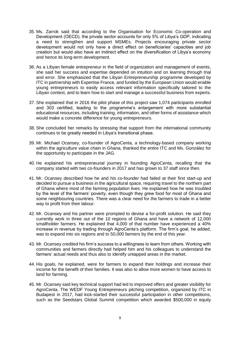- 35. Ms. Zarrok said that according to the Organisation for Economic Co-operation and Development (OECD), the private sector accounts for only 5% of Libya's GDP, indicating a need to strengthen and support MSMEs. Projects encouraging private sector development would not only have a direct effect on beneficiaries' capacities and job creation but would also have an indirect effect on the diversification of Libya's economy and hence its long-term development.
- 36. As a Libyan female entrepreneur in the field of organization and management of events, she said her success and expertise depended on intuition and on learning through trial and error. She emphasized that the Libyan Entrepreneurship programme developed by ITC in partnership with Expertise France, and funded by the European Union would enable young entrepreneurs to easily access relevant information specifically tailored to the Libyan context, and to learn how to start and manage a successful business from experts.
- 37. She explained that in 2016 the pilot phase of this project saw 1,074 participants enrolled and 303 certified, leading to the programme's enlargement with more substantial educational resources, including training, information, and other forms of assistance which would make a concrete difference for young entrepreneurs.
- 38. She concluded her remarks by stressing that support from the international community continues to be greatly needed in Libya's transitional phase.
- 39. Mr. Michael Ocansey, co-founder of AgroCenta, a technology-based company working within the agriculture value chain in Ghana, thanked the entire ITC and Ms. González for the opportunity to participate in the JAG.
- 40. He explained his entrepreneurial journey in founding AgroCenta, recalling that the company started with two co-founders in 2017 and has grown to 37 staff since then.
- 41. Mr. Ocansey described how he and his co-founder had failed at their first start-up and decided to pursue a business in the agricultural space, requiring travel to the northern part of Ghana where most of the farming population lives. He explained how he was troubled by the level of the farmers' poverty, even though they grew food for most of Ghana and some neighbouring countries. There was a clear need for the farmers to trade in a better way to profit from their labour.
- 42. Mr. Ocansey and his partner were prompted to devise a for-profit solution. He said they currently work in three out of the 10 regions of Ghana and have a network of 12,000 smallholder farmers. He explained that 4,000 of that number have experienced a 40% increase in revenue by trading through AgroCenta's platform. The firm's goal, he added, was to expand into six regions and to 50,000 farmers by the end of this year.
- 43. Mr. Ocansey credited his firm's success to a willingness to learn from others. Working with communities and farmers directly had helped him and his colleagues to understand the farmers' actual needs and thus also to identify untapped areas in the market.
- 44. His goals, he explained, were for farmers to expand their holdings and increase their income for the benefit of their families. It was also to allow more women to have access to land for farming.
- 45. Mr. Ocansey said key technical support had led to improved offers and greater visibility for AgroCenta. The WEDF Young Entrepreneurs pitching competition, organized by ITC in Budapest in 2017, had kick-started their successful participation in other competitions, such as the Seedstars Global Summit competition which awarded \$500,000 in equity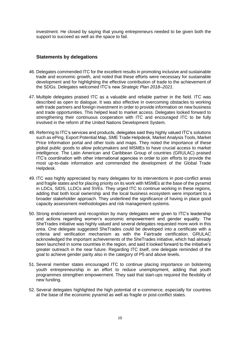investment. He closed by saying that young entrepreneurs needed to be given both the support to succeed as well as the space to fail.

#### <span id="page-9-0"></span>**Statements by delegations**

- 46. Delegates commended ITC for the excellent results in promoting inclusive and sustainable trade and economic growth, and noted that these efforts were necessary for sustainable development and for highlighting the effective contribution of trade to the achievement of the SDGs. Delegates welcomed ITC's new *Strategic Plan 2018–2021*.
- 47. Multiple delegates praised ITC as a valuable and reliable partner in the field. ITC was described as open to dialogue. It was also effective in overcoming obstacles to working with trade partners and foreign investment in order to provide information on new business and trade opportunities. This helped lead to market access. Delegates looked forward to strengthening their continuous cooperation with ITC and encouraged ITC to be fully involved in the reform of the United Nations Development System.
- 48. Referring to ITC's services and products, delegates said they highly valued ITC's solutions such as ePing, Export Potential Map, SME Trade Helpdesk, Market Analysis Tools, Market Price Information portal and other tools and maps. They noted the importance of these global public goods to allow policymakers and MSMEs to have crucial access to market intelligence. The Latin American and Caribbean Group of countries (GRULAC) praised ITC's coordination with other international agencies in order to join efforts to provide the most up-to-date information and commended the development of the Global Trade Helpdesk.
- 49. ITC was highly appreciated by many delegates for its interventions in post-conflict areas and fragile states and for placing priority on its work with MSMEs at the base of the pyramid in LDCs, SIDS, LLDCs and SVEs. They urged ITC to continue working in these regions, adding that both local ownership and the local business ecosystem were important to a broader stakeholder approach. They underlined the significance of having in place good capacity assessment methodologies and risk management systems.
- 50. Strong endorsement and recognition by many delegates were given to ITC's leadership and actions regarding women's economic empowerment and gender equality. The SheTrades initiative was highly valued and several delegates requested more work in this area. One delegate suggested SheTrades could be developed into a certificate with a criteria and verification mechanism as with the Fairtrade certification. GRULAC acknowledged the important achievements of the SheTrades initiative, which had already been launched in some countries in the region, and said it looked forward to the initiative's greater outreach in the near future. Regarding ITC itself, one delegate reminded of the goal to achieve gender parity also in the category of P5 and above levels.
- 51. Several member states encouraged ITC to continue placing importance on bolstering youth entrepreneurship in an effort to reduce unemployment, adding that youth programmes strengthen empowerment. They said that start-ups required the flexibility of new funding.
- 52. Several delegates highlighted the high potential of e-commerce, especially for countries at the base of the economic pyramid as well as fragile or post-conflict states.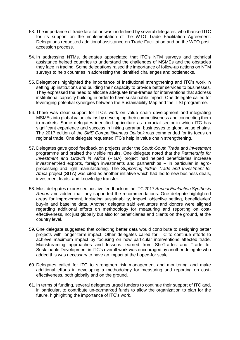- 53. The importance of trade facilitation was underlined by several delegates, who thanked ITC for its support on the implementation of the WTO Trade Facilitation Agreement. Delegations requested additional assistance on Trade Facilitation and on the WTO postaccession process.
- 54. In addressing NTMs, delegates appreciated that ITC's NTM surveys and technical assistance helped countries to understand the challenges of MSMEs and the obstacles they face in trading. Some delegations raised the importance of follow-up actions on NTM surveys to help countries in addressing the identified challenges and bottlenecks.
- 55. Delegations highlighted the importance of institutional strengthening and ITC's work in setting up institutions and building their capacity to provide better services to businesses. They expressed the need to allocate adequate time-frames for interventions that address institutional capacity building in order to have sustainable impact. One delegate called for leveraging potential synergies between the Sustainability Map and the TISI programme.
- 56. There was clear support for ITC's work on value chain development and integrating MSMEs into global value chains by developing their competitiveness and connecting them to markets. Some delegates identified agriculture as a crucial sector in which ITC has significant experience and success in linking agrarian businesses to global value chains. The 2017 edition of the *SME Competitiveness Outlook* was commended for its focus on regional trade. One delegate requested ITC's help in value chain strengthening.
- 57. Delegates gave good feedback on projects under the *South-South Trade and Investment* programme and praised the visible results. One delegate noted that the *Partnership for Investment and Growth in Africa* (PIGA) project had helped beneficiaries increase investment-led exports, foreign investments and partnerships -- in particular in agroprocessing and light manufacturing. The *Supporting Indian Trade and Investment for Africa* project (SITA) was cited as another initiative which had led to new business deals, investment leads, and knowledge transfer.
- 58. Most delegates expressed positive feedback on the ITC 2017 *Annual Evaluation Synthesis Report* and added that they supported the recommendations. One delegate highlighted areas for improvement, including sustainability, impact, objective setting, beneficiaries' buy-in and baseline data. Another delegate said evaluators and donors were aligned regarding additional efforts on methodology for measuring and reporting on costeffectiveness, not just globally but also for beneficiaries and clients on the ground, at the country level.
- 59. One delegate suggested that collecting better data would contribute to designing better projects with longer-term impact. Other delegates called for ITC to continue efforts to achieve maximum impact by focusing on how particular interventions affected trade. Mainstreaming approaches and lessons learned from SheTrades and Trade for Sustainable Development in ITC's overall work was encouraged by another delegate who added this was necessary to have an impact at the hoped-for scale.
- 60. Delegates called for ITC to strengthen risk management and monitoring and make additional efforts in developing a methodology for measuring and reporting on costeffectiveness, both globally and on the ground.
- 61. In terms of funding, several delegates urged funders to continue their support of ITC and, in particular, to contribute un-earmarked funds to allow the organization to plan for the future, highlighting the importance of ITC's work.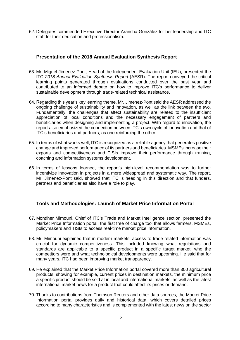62. Delegates commended Executive Director Arancha González for her leadership and ITC staff for their dedication and professionalism.

#### <span id="page-11-0"></span>**Presentation of the 2018 Annual Evaluation Synthesis Report**

- 63. Mr. Miguel Jimenez-Pont, Head of the Independent Evaluation Unit (IEU), presented the ITC *2018 Annual Evaluation Synthesis Report* (AESR). The report conveyed the critical learning points generated through evaluations conducted over the past year and contributed to an informed debate on how to improve ITC's performance to deliver sustainable development through trade-related technical assistance.
- 64. Regarding this year's key learning theme, Mr. Jimenez-Pont said the AESR addressed the ongoing challenge of sustainability and innovation, as well as the link between the two. Fundamentally, the challenges that affect sustainability are related to the insufficient appreciation of local conditions and the necessary engagement of partners and beneficiaries when designing and implementing a project. With regard to innovation, the report also emphasized the connection between ITC's own cycle of innovation and that of ITC's beneficiaries and partners, as one reinforcing the other.
- 65. In terms of what works well, ITC is recognized as a reliable agency that generates positive change and improved performance of its partners and beneficiaries. MSMEs increase their exports and competitiveness and TISIs improve their performance through training, coaching and information systems development.
- 66. In terms of lessons learned, the report's high-level recommendation was to further incentivize innovation in projects in a more widespread and systematic way. The report, Mr. Jimenez-Pont said, showed that ITC is heading in this direction and that funders, partners and beneficiaries also have a role to play.

## <span id="page-11-1"></span>**Tools and Methodologies: Launch of Market Price Information Portal**

- 67. Mondher Mimouni, Chief of ITC's Trade and Market Intelligence section, presented the Market Price Information portal, the first free of charge tool that allows farmers, MSMEs, policymakers and TISIs to access real-time market price information.
- 68. Mr. Mimouni explained that in modern markets, access to trade-related information was crucial for dynamic competitiveness. This included knowing what regulations and standards are applicable to a specific product in a specific target market, who the competitors were and what technological developments were upcoming. He said that for many years, ITC had been improving market transparency.
- 69. He explained that the Market Price Information portal covered more than 300 agricultural products, showing for example, current prices in destination markets, the minimum price a specific product should be sold at in local and international markets, as well as the latest international market news for a product that could affect its prices or demand.
- 70. Thanks to contributions from Thomson Reuters and other data sources, the Market Price Information portal provides daily and historical data, which covers detailed prices according to many characteristics and is complemented with the latest news on the sector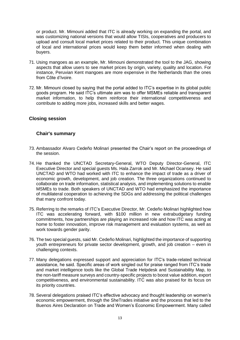or product. Mr. Mimouni added that ITC is already working on expanding the portal, and was customizing national versions that would allow TISIs, cooperatives and producers to upload and consult local market prices related to their product. This unique combination of local and international prices would keep them better informed when dealing with buyers.

- 71. Using mangoes as an example, Mr. Mimouni demonstrated the tool to the JAG, showing aspects that allow users to see market prices by origin, variety, quality and location. For instance, Peruvian Kent mangoes are more expensive in the Netherlands than the ones from Côte d'Ivoire.
- 72. Mr. Mimouni closed by saying that the portal added to ITC's expertise in its global public goods program. He said ITC's ultimate aim was to offer MSMEs reliable and transparent market information, to help them reinforce their international competitiveness and contribute to adding more jobs, increased skills and better wages.

### <span id="page-12-0"></span>**Closing session**

#### <span id="page-12-1"></span>**Chair's summary**

- 73. Ambassador Alvaro Cedeño Molinari presented the Chair's report on the proceedings of the session.
- 74. He thanked the UNCTAD Secretary-General, WTO Deputy Director-General, ITC Executive Director and special guests Ms. Hala Zarrok and Mr. Michael Ocansey. He said UNCTAD and WTO had worked with ITC to enhance the impact of trade as a driver of economic growth, development, and job creation. The three organizations continued to collaborate on trade information, statistical analysis, and implementing solutions to enable MSMEs to trade. Both speakers of UNCTAD and WTO had emphasized the importance of multilateral cooperation to achieving the SDGs and addressing the political challenges that many confront today.
- 75. Referring to the remarks of ITC's Executive Director, Mr. Cedeño Molinari highlighted how ITC was accelerating forward, with \$100 million in new extrabudgetary funding commitments, how partnerships are playing an increased role and how ITC was acting at home to foster innovation, improve risk management and evaluation systems, as well as work towards gender parity.
- 76. The two special guests, said Mr. Cedeño Molinari, highlighted the importance of supporting youth entrepreneurs for private sector development, growth, and job creation – even in challenging contexts.
- 77. Many delegations expressed support and appreciation for ITC's trade-related technical assistance, he said. Specific areas of work singled out for praise ranged from ITC's trade and market intelligence tools like the Global Trade Helpdesk and Sustainability Map, to the non-tariff measure surveys and country-specific projects to boost value addition, export competitiveness, and environmental sustainability. ITC was also praised for its focus on its priority countries.
- 78. Several delegations praised ITC's effective advocacy and thought leadership on women's economic empowerment, through the SheTrades initiative and the process that led to the Buenos Aires Declaration on Trade and Women's Economic Empowerment. Many called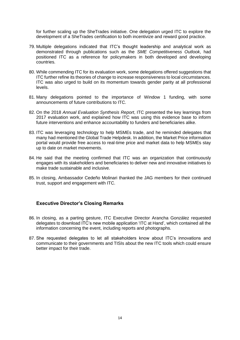for further scaling up the SheTrades initiative. One delegation urged ITC to explore the development of a SheTrades certification to both incentivize and reward good practice.

- 79. Multiple delegations indicated that ITC's thought leadership and analytical work as demonstrated through publications such as the *SME Competitiveness Outlook*, had positioned ITC as a reference for policymakers in both developed and developing countries.
- 80. While commending ITC for its evaluation work, some delegations offered suggestions that ITC further refine its theories of change to increase responsiveness to local circumstances. ITC was also urged to build on its momentum towards gender parity at all professional levels.
- 81. Many delegations pointed to the importance of Window 1 funding, with some announcements of future contributions to ITC.
- 82. On the 2018 *Annual Evaluation Synthesis Report*, ITC presented the key learnings from 2017 evaluation work, and explained how ITC was using this evidence base to inform future interventions and enhance accountability to funders and beneficiaries alike.
- 83. ITC was leveraging technology to help MSMEs trade, and he reminded delegates that many had mentioned the Global Trade Helpdesk. In addition, the Market Price information portal would provide free access to real-time price and market data to help MSMEs stay up to date on market movements.
- 84. He said that the meeting confirmed that ITC was an organization that continuously engages with its stakeholders and beneficiaries to deliver new and innovative initiatives to make trade sustainable and inclusive.
- 85. In closing, Ambassador Cedeño Molinari thanked the JAG members for their continued trust, support and engagement with ITC.

#### <span id="page-13-0"></span>**Executive Director's Closing Remarks**

- 86. In closing, as a parting gesture, ITC Executive Director Arancha González requested delegates to download ITC's new mobile application 'ITC at Hand', which contained all the information concerning the event, including reports and photographs.
- 87. She requested delegates to let all stakeholders know about ITC's innovations and communicate to their governments and TISIs about the new ITC tools which could ensure better impact for their trade.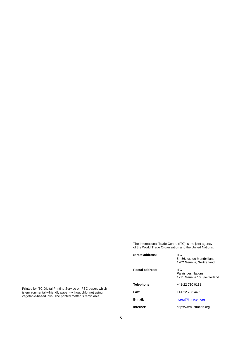The International Trade Centre (ITC) is the joint agency of the World Trade Organization and the United Nations.

| Street address: | ITC.<br>54-56, rue de Montbrillant<br>1202 Geneva, Switzerland |
|-----------------|----------------------------------------------------------------|
| Postal address: | ITC.<br>Palais des Nations<br>1211 Geneva 10, Switzerland      |
| Telephone:      | +41-22 730 0111                                                |
| Fax:            | +41-22 733 4439                                                |
| E-mail:         | itcreg@intracen.org                                            |
| Internet:       | http://www.intracen.org                                        |

Printed by ITC Digital Printing Service on FSC paper, which is environmentally-friendly paper (without chlorine) using vegetable-based inks. The printed matter is recyclable